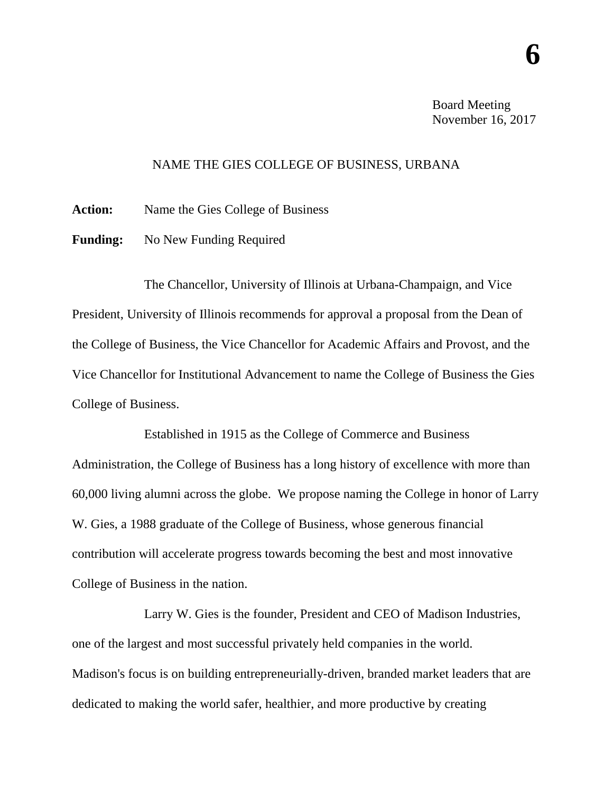**6**

## NAME THE GIES COLLEGE OF BUSINESS, URBANA

**Action:** Name the Gies College of Business

**Funding:** No New Funding Required

The Chancellor, University of Illinois at Urbana-Champaign, and Vice President, University of Illinois recommends for approval a proposal from the Dean of the College of Business, the Vice Chancellor for Academic Affairs and Provost, and the Vice Chancellor for Institutional Advancement to name the College of Business the Gies College of Business.

Established in 1915 as the College of Commerce and Business Administration, the College of Business has a long history of excellence with more than 60,000 living alumni across the globe. We propose naming the College in honor of Larry W. Gies, a 1988 graduate of the College of Business, whose generous financial contribution will accelerate progress towards becoming the best and most innovative College of Business in the nation.

Larry W. Gies is the founder, President and CEO of Madison Industries, one of the largest and most successful privately held companies in the world. Madison's focus is on building entrepreneurially-driven, branded market leaders that are dedicated to making the world safer, healthier, and more productive by creating